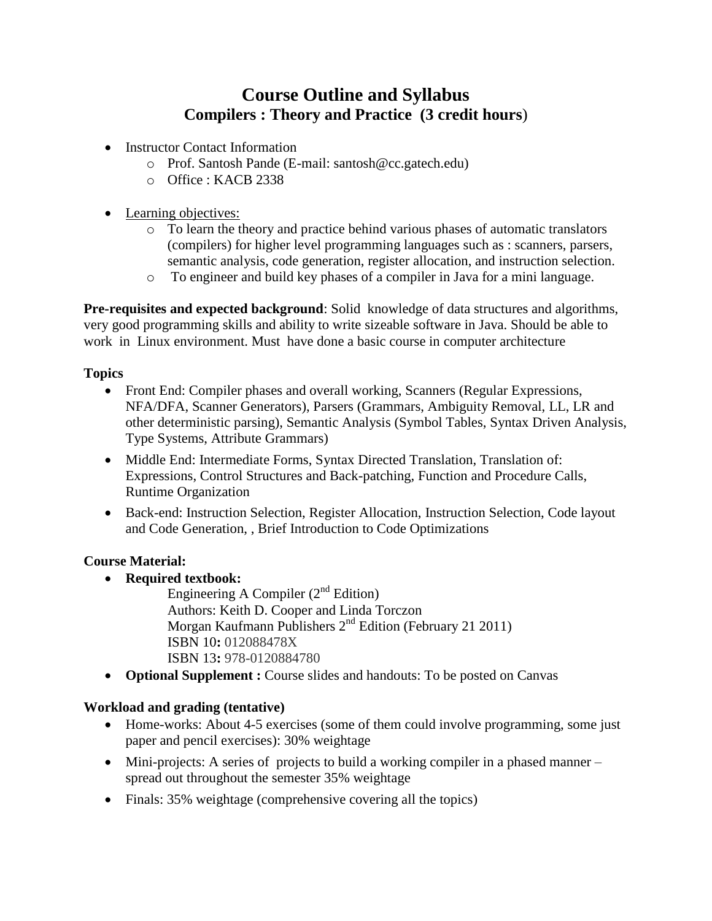# **Course Outline and Syllabus Compilers : Theory and Practice (3 credit hours**)

- Instructor Contact Information
	- o Prof. Santosh Pande (E-mail: santosh@cc.gatech.edu)
	- o Office : KACB 2338
- Learning objectives:
	- o To learn the theory and practice behind various phases of automatic translators (compilers) for higher level programming languages such as : scanners, parsers, semantic analysis, code generation, register allocation, and instruction selection.
	- o To engineer and build key phases of a compiler in Java for a mini language.

**Pre-requisites and expected background**: Solid knowledge of data structures and algorithms, very good programming skills and ability to write sizeable software in Java. Should be able to work in Linux environment. Must have done a basic course in computer architecture

## **Topics**

- Front End: Compiler phases and overall working, Scanners (Regular Expressions, NFA/DFA, Scanner Generators), Parsers (Grammars, Ambiguity Removal, LL, LR and other deterministic parsing), Semantic Analysis (Symbol Tables, Syntax Driven Analysis, Type Systems, Attribute Grammars)
- Middle End: Intermediate Forms, Syntax Directed Translation, Translation of: Expressions, Control Structures and Back-patching, Function and Procedure Calls, Runtime Organization
- Back-end: Instruction Selection, Register Allocation, Instruction Selection, Code layout and Code Generation, , Brief Introduction to Code Optimizations

## **Course Material:**

- **Required textbook:** 
	- Engineering A Compiler  $(2<sup>nd</sup> Edition)$ Authors: Keith D. Cooper and Linda Torczon Morgan Kaufmann Publishers 2<sup>nd</sup> Edition (February 21 2011) ISBN 10**:** 012088478X ISBN 13**:** 978-0120884780
- **Optional Supplement :** Course slides and handouts: To be posted on Canvas

# **Workload and grading (tentative)**

- Home-works: About 4-5 exercises (some of them could involve programming, some just paper and pencil exercises): 30% weightage
- Mini-projects: A series of projects to build a working compiler in a phased manner spread out throughout the semester 35% weightage
- Finals: 35% weightage (comprehensive covering all the topics)